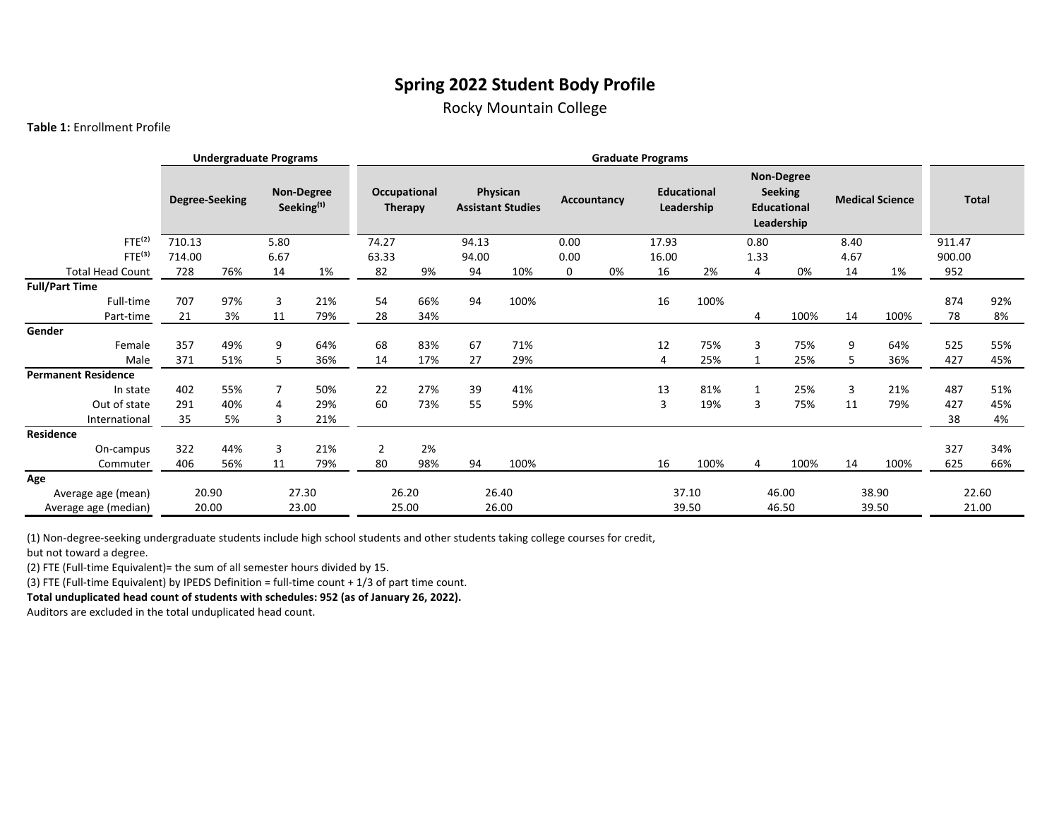## **Spring 2022 Student Body Profile**

Rocky Mountain College

## **Table 1:** Enrollment Profile

|                            |                | <b>Undergraduate Programs</b> |                                      |       |                         |     |       |                                      |             |    | <b>Graduate Programs</b> |                                  |              |                                                                         |      |                        |              |     |
|----------------------------|----------------|-------------------------------|--------------------------------------|-------|-------------------------|-----|-------|--------------------------------------|-------------|----|--------------------------|----------------------------------|--------------|-------------------------------------------------------------------------|------|------------------------|--------------|-----|
|                            | Degree-Seeking |                               | Non-Degree<br>Seeking <sup>(1)</sup> |       | Occupational<br>Therapy |     |       | Physican<br><b>Assistant Studies</b> | Accountancy |    |                          | <b>Educational</b><br>Leadership |              | <b>Non-Degree</b><br><b>Seeking</b><br><b>Educational</b><br>Leadership |      | <b>Medical Science</b> | <b>Total</b> |     |
| FTE <sup>(2)</sup>         | 710.13         |                               | 5.80                                 |       | 74.27                   |     | 94.13 |                                      | 0.00        |    | 17.93                    |                                  | 0.80         |                                                                         | 8.40 |                        | 911.47       |     |
| FTE <sup>(3)</sup>         | 714.00         |                               | 6.67                                 |       | 63.33                   |     | 94.00 |                                      | 0.00        |    | 16.00                    |                                  | 1.33         |                                                                         | 4.67 |                        | 900.00       |     |
| <b>Total Head Count</b>    | 728            | 76%                           | 14                                   | 1%    | 82                      | 9%  | 94    | 10%                                  | 0           | 0% | 16                       | 2%                               | 4            | 0%                                                                      | 14   | 1%                     | 952          |     |
| <b>Full/Part Time</b>      |                |                               |                                      |       |                         |     |       |                                      |             |    |                          |                                  |              |                                                                         |      |                        |              |     |
| Full-time                  | 707            | 97%                           | 3                                    | 21%   | 54                      | 66% | 94    | 100%                                 |             |    | 16                       | 100%                             |              |                                                                         |      |                        | 874          | 92% |
| Part-time                  | 21             | 3%                            | 11                                   | 79%   | 28                      | 34% |       |                                      |             |    |                          |                                  | 4            | 100%                                                                    | 14   | 100%                   | 78           | 8%  |
| Gender                     |                |                               |                                      |       |                         |     |       |                                      |             |    |                          |                                  |              |                                                                         |      |                        |              |     |
| Female                     | 357            | 49%                           | 9                                    | 64%   | 68                      | 83% | 67    | 71%                                  |             |    | 12                       | 75%                              | 3            | 75%                                                                     | 9    | 64%                    | 525          | 55% |
| Male                       | 371            | 51%                           | 5.                                   | 36%   | 14                      | 17% | 27    | 29%                                  |             |    | 4                        | 25%                              | 1            | 25%                                                                     | 5.   | 36%                    | 427          | 45% |
| <b>Permanent Residence</b> |                |                               |                                      |       |                         |     |       |                                      |             |    |                          |                                  |              |                                                                         |      |                        |              |     |
| In state                   | 402            | 55%                           | $\overline{7}$                       | 50%   | 22                      | 27% | 39    | 41%                                  |             |    | 13                       | 81%                              | $\mathbf{1}$ | 25%                                                                     | 3    | 21%                    | 487          | 51% |
| Out of state               | 291            | 40%                           | 4                                    | 29%   | 60                      | 73% | 55    | 59%                                  |             |    | 3                        | 19%                              | 3            | 75%                                                                     | 11   | 79%                    | 427          | 45% |
| International              | 35             | 5%                            | 3                                    | 21%   |                         |     |       |                                      |             |    |                          |                                  |              |                                                                         |      |                        | 38           | 4%  |
| Residence                  |                |                               |                                      |       |                         |     |       |                                      |             |    |                          |                                  |              |                                                                         |      |                        |              |     |
| On-campus                  | 322            | 44%                           | 3                                    | 21%   | $\overline{2}$          | 2%  |       |                                      |             |    |                          |                                  |              |                                                                         |      |                        | 327          | 34% |
| Commuter                   | 406            | 56%                           | 11                                   | 79%   | 80                      | 98% | 94    | 100%                                 |             |    | 16                       | 100%                             | 4            | 100%                                                                    | 14   | 100%                   | 625          | 66% |
| Age                        |                |                               |                                      |       |                         |     |       |                                      |             |    |                          |                                  |              |                                                                         |      |                        |              |     |
| Average age (mean)         | 20.90          |                               |                                      | 27.30 | 26.20                   |     |       | 26.40                                |             |    |                          | 37.10                            |              | 46.00                                                                   |      | 38.90                  | 22.60        |     |
| Average age (median)       | 20.00          |                               |                                      | 23.00 | 25.00                   |     |       | 26.00                                |             |    |                          | 39.50                            |              | 46.50                                                                   |      | 39.50                  | 21.00        |     |

(1) Non-degree-seeking undergraduate students include high school students and other students taking college courses for credit, but not toward a degree.

(2) FTE (Full-time Equivalent)= the sum of all semester hours divided by 15.

(3) FTE (Full-time Equivalent) by IPEDS Definition = full-time count + 1/3 of part time count.

**Total unduplicated head count of students with schedules: 952 (as of January 26, 2022).** 

Auditors are excluded in the total unduplicated head count.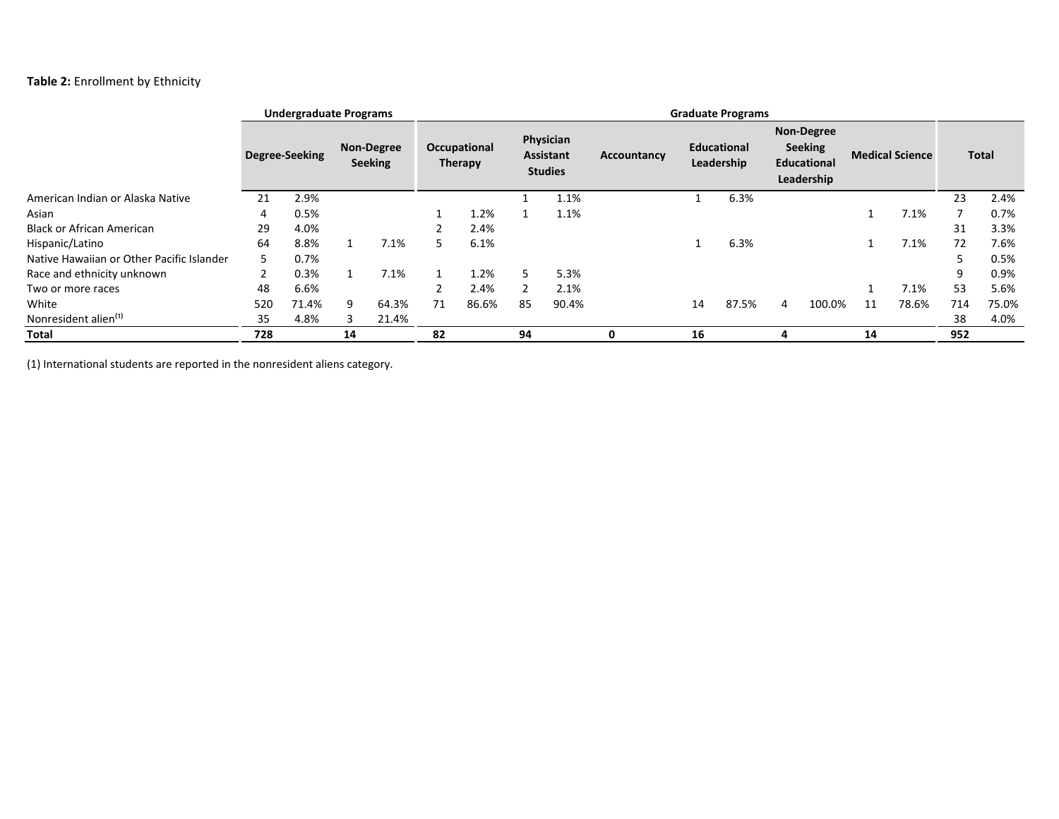## **Table 2:** Enrollment by Ethnicity

|                                           | <b>Undergraduate Programs</b> |                |    |                                     |    | <b>Graduate Programs</b> |    |                                          |             |    |                           |   |                                                                         |    |                        |     |              |
|-------------------------------------------|-------------------------------|----------------|----|-------------------------------------|----|--------------------------|----|------------------------------------------|-------------|----|---------------------------|---|-------------------------------------------------------------------------|----|------------------------|-----|--------------|
|                                           |                               | Degree-Seeking |    | <b>Non-Degree</b><br><b>Seeking</b> |    | Occupational<br>Therapy  |    | Physician<br>Assistant<br><b>Studies</b> | Accountancy |    | Educational<br>Leadership |   | <b>Non-Degree</b><br><b>Seeking</b><br><b>Educational</b><br>Leadership |    | <b>Medical Science</b> |     | <b>Total</b> |
| American Indian or Alaska Native          | 21                            | 2.9%           |    |                                     |    |                          |    | 1.1%                                     |             |    | 6.3%                      |   |                                                                         |    |                        | 23  | 2.4%         |
| Asian                                     | 4                             | 0.5%           |    |                                     |    | 1.2%                     |    | 1.1%                                     |             |    |                           |   |                                                                         |    | 7.1%                   |     | 0.7%         |
| <b>Black or African American</b>          | 29                            | 4.0%           |    |                                     |    | 2.4%                     |    |                                          |             |    |                           |   |                                                                         |    |                        | 31  | 3.3%         |
| Hispanic/Latino                           | 64                            | 8.8%           |    | 7.1%                                | 5. | 6.1%                     |    |                                          |             |    | 6.3%                      |   |                                                                         |    | 7.1%                   | 72  | 7.6%         |
| Native Hawaiian or Other Pacific Islander | 5.                            | 0.7%           |    |                                     |    |                          |    |                                          |             |    |                           |   |                                                                         |    |                        | כ   | 0.5%         |
| Race and ethnicity unknown                |                               | 0.3%           |    | 7.1%                                |    | 1.2%                     | 5  | 5.3%                                     |             |    |                           |   |                                                                         |    |                        | 9   | 0.9%         |
| Two or more races                         | 48                            | 6.6%           |    |                                     |    | 2.4%                     |    | 2.1%                                     |             |    |                           |   |                                                                         |    | 7.1%                   | 53  | 5.6%         |
| White                                     | 520                           | 71.4%          | 9  | 64.3%                               | 71 | 86.6%                    | 85 | 90.4%                                    |             | 14 | 87.5%                     | 4 | 100.0%                                                                  | 11 | 78.6%                  | 714 | 75.0%        |
| Nonresident alien <sup>(1)</sup>          | 35                            | 4.8%           | 3  | 21.4%                               |    |                          |    |                                          |             |    |                           |   |                                                                         |    |                        | 38  | 4.0%         |
| Total                                     | 728                           |                | 14 |                                     | 82 |                          | 94 |                                          |             | 16 |                           |   |                                                                         | 14 |                        | 952 |              |

(1) International students are reported in the nonresident aliens category.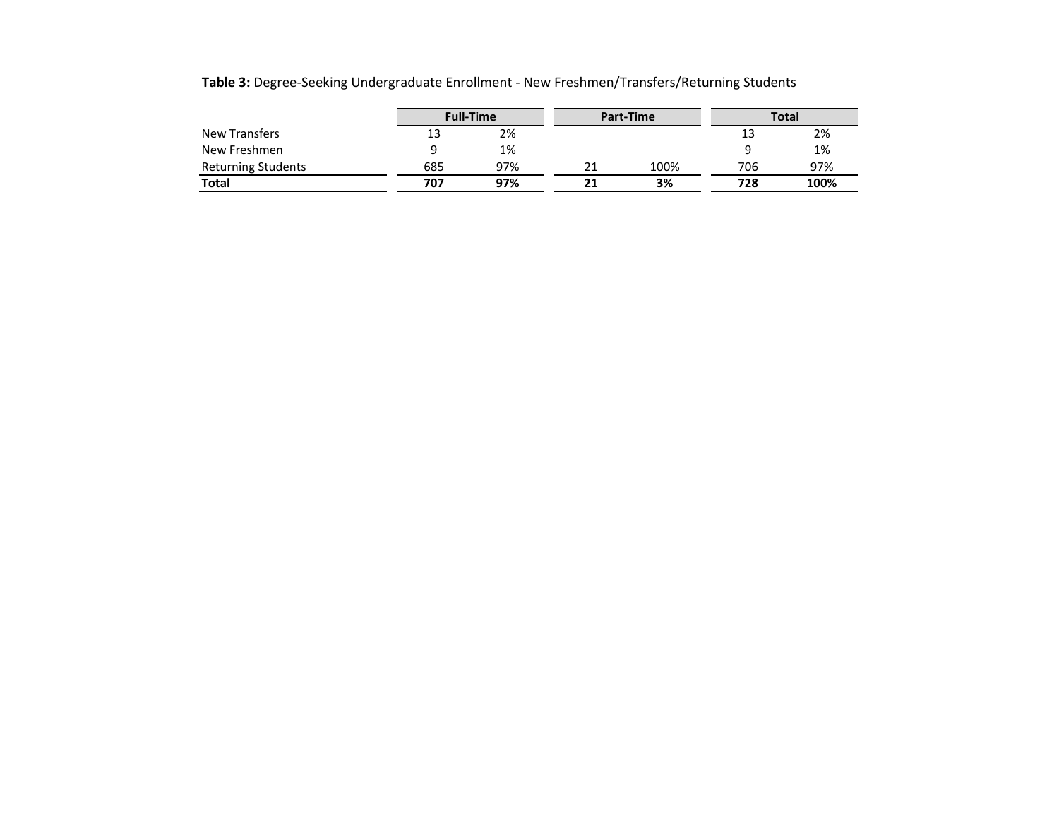|                           | <b>Full-Time</b> |     |    | Part-Time | <b>Total</b> |      |  |
|---------------------------|------------------|-----|----|-----------|--------------|------|--|
| <b>New Transfers</b>      | 13               | 2%  |    |           | 13           | 2%   |  |
| New Freshmen              |                  | 1%  |    |           |              | 1%   |  |
| <b>Returning Students</b> | 685              | 97% |    | 100%      | 706          | 97%  |  |
| <b>Total</b>              | 707              | 97% | 21 | 3%        | 728          | 100% |  |

**Table 3:** Degree-Seeking Undergraduate Enrollment - New Freshmen/Transfers/Returning Students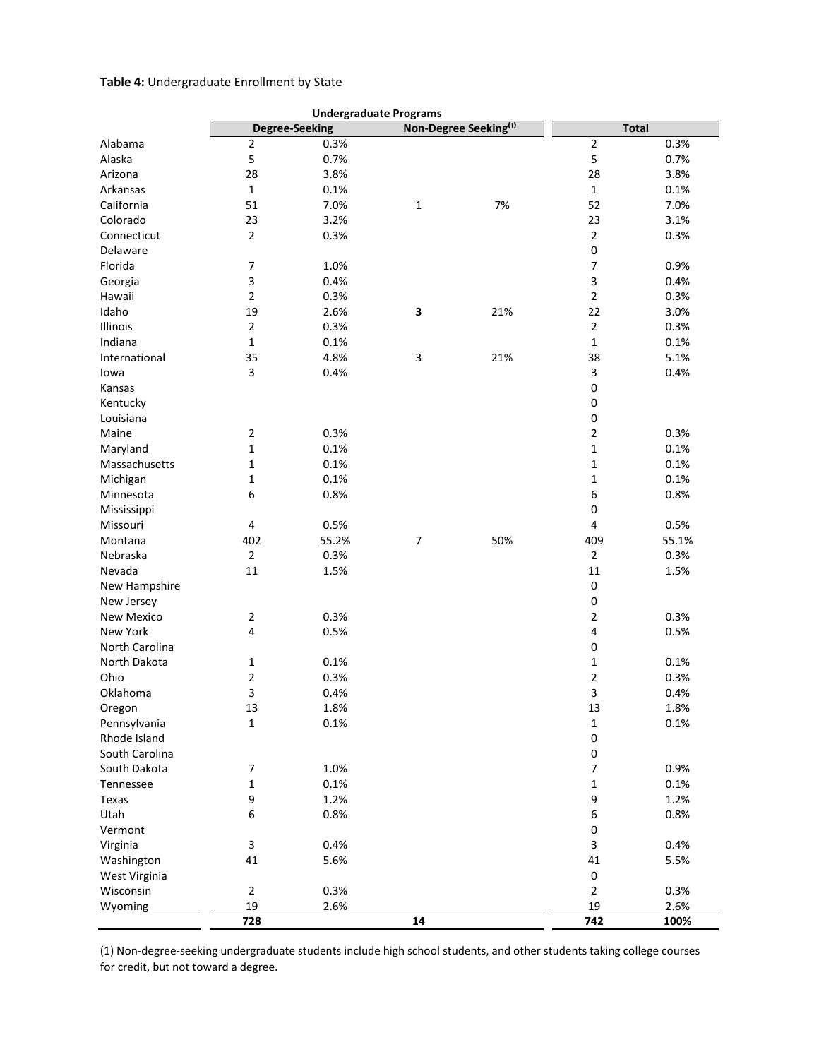## **Table 4:** Undergraduate Enrollment by State

|                       |                           |                       | <b>Undergraduate Programs</b> |                                   |                          |              |
|-----------------------|---------------------------|-----------------------|-------------------------------|-----------------------------------|--------------------------|--------------|
|                       |                           | <b>Degree-Seeking</b> |                               | Non-Degree Seeking <sup>(1)</sup> |                          | <b>Total</b> |
| Alabama               | 2                         | 0.3%                  |                               |                                   | $\overline{2}$           | 0.3%         |
| Alaska                | 5                         | 0.7%                  |                               |                                   | 5                        | 0.7%         |
| Arizona               | 28                        | 3.8%                  |                               |                                   | 28                       | 3.8%         |
| Arkansas              | $\mathbf 1$               | 0.1%                  |                               |                                   | $\mathbf 1$              | 0.1%         |
| California            | 51                        | 7.0%                  | $\mathbf{1}$                  | 7%                                | 52                       | 7.0%         |
| Colorado              | 23                        | 3.2%                  |                               |                                   | 23                       | 3.1%         |
| Connecticut           | $\mathbf 2$               | 0.3%                  |                               |                                   | $\sqrt{2}$               | 0.3%         |
| Delaware              |                           |                       |                               |                                   | 0                        |              |
| Florida               | $\boldsymbol{7}$          | 1.0%                  |                               |                                   | $\overline{\phantom{a}}$ | 0.9%         |
| Georgia               | 3                         | 0.4%                  |                               |                                   | 3                        | 0.4%         |
| Hawaii                | 2                         | 0.3%                  |                               |                                   | $\overline{2}$           | 0.3%         |
| Idaho                 | 19                        | 2.6%                  | 3                             | 21%                               | 22                       | 3.0%         |
| Illinois              | $\mathbf 2$               | 0.3%                  |                               |                                   | $\sqrt{2}$               | 0.3%         |
| Indiana               | $\mathbf 1$               | 0.1%                  |                               |                                   | $\mathbf 1$              | 0.1%         |
| International         | 35                        | 4.8%                  | 3                             | 21%                               | 38                       | 5.1%         |
| lowa                  | 3                         | 0.4%                  |                               |                                   | 3                        | 0.4%         |
| Kansas                |                           |                       |                               |                                   | $\mathbf 0$              |              |
|                       |                           |                       |                               |                                   |                          |              |
| Kentucky<br>Louisiana |                           |                       |                               |                                   | 0<br>$\pmb{0}$           |              |
|                       |                           | 0.3%                  |                               |                                   |                          |              |
| Maine                 | $\overline{2}$            |                       |                               |                                   | $\overline{2}$           | 0.3%         |
| Maryland              | $\mathbf 1$               | 0.1%                  |                               |                                   | 1                        | 0.1%         |
| Massachusetts         | 1                         | 0.1%                  |                               |                                   | $\mathbf{1}$             | 0.1%         |
| Michigan              | $\mathbf 1$               | 0.1%                  |                               |                                   | $\mathbf 1$              | 0.1%         |
| Minnesota             | 6                         | 0.8%                  |                               |                                   | 6                        | 0.8%         |
| Mississippi           |                           |                       |                               |                                   | $\pmb{0}$                |              |
| Missouri              | $\pmb{4}$                 | 0.5%                  |                               |                                   | 4                        | 0.5%         |
| Montana               | 402                       | 55.2%                 | 7                             | 50%                               | 409                      | 55.1%        |
| Nebraska              | 2                         | 0.3%                  |                               |                                   | $\overline{2}$           | 0.3%         |
| Nevada                | 11                        | 1.5%                  |                               |                                   | 11                       | 1.5%         |
| New Hampshire         |                           |                       |                               |                                   | $\pmb{0}$                |              |
| New Jersey            |                           |                       |                               |                                   | 0                        |              |
| New Mexico            | $\overline{2}$            | 0.3%                  |                               |                                   | $\overline{2}$           | 0.3%         |
| New York              | 4                         | 0.5%                  |                               |                                   | $\pmb{4}$                | 0.5%         |
| North Carolina        |                           |                       |                               |                                   | $\mathbf 0$              |              |
| North Dakota          | 1                         | 0.1%                  |                               |                                   | $\mathbf 1$              | 0.1%         |
| Ohio                  | $\overline{\mathbf{c}}$   | 0.3%                  |                               |                                   | $\overline{\mathbf{c}}$  | 0.3%         |
| Oklahoma              | 3                         | 0.4%                  |                               |                                   | 3                        | 0.4%         |
| Oregon                | 13                        | 1.8%                  |                               |                                   | 13                       | 1.8%         |
| Pennsylvania          | $\mathbf 1$               | 0.1%                  |                               |                                   | 1                        | 0.1%         |
| Rhode Island          |                           |                       |                               |                                   | 0                        |              |
| South Carolina        |                           |                       |                               |                                   | 0                        |              |
| South Dakota          | 7                         | 1.0%                  |                               |                                   | $\overline{7}$           | 0.9%         |
| Tennessee             | $\mathbf 1$               | 0.1%                  |                               |                                   | 1                        | 0.1%         |
| Texas                 | 9                         | 1.2%                  |                               |                                   | 9                        | 1.2%         |
| Utah                  | 6                         | 0.8%                  |                               |                                   | 6                        | 0.8%         |
| Vermont               |                           |                       |                               |                                   | 0                        |              |
| Virginia              | $\ensuremath{\mathsf{3}}$ | 0.4%                  |                               |                                   | $\mathsf 3$              | 0.4%         |
| Washington            | 41                        | 5.6%                  |                               |                                   | 41                       | 5.5%         |
| West Virginia         |                           |                       |                               |                                   | $\pmb{0}$                |              |
| Wisconsin             | $\mathbf 2$               | 0.3%                  |                               |                                   | $\sqrt{2}$               | 0.3%         |
| Wyoming               | 19                        | 2.6%                  |                               |                                   | 19                       | 2.6%         |
|                       |                           |                       |                               |                                   |                          |              |
|                       | 728                       |                       | 14                            |                                   | 742                      | 100%         |

(1) Non-degree-seeking undergraduate students include high school students, and other students taking college courses for credit, but not toward a degree.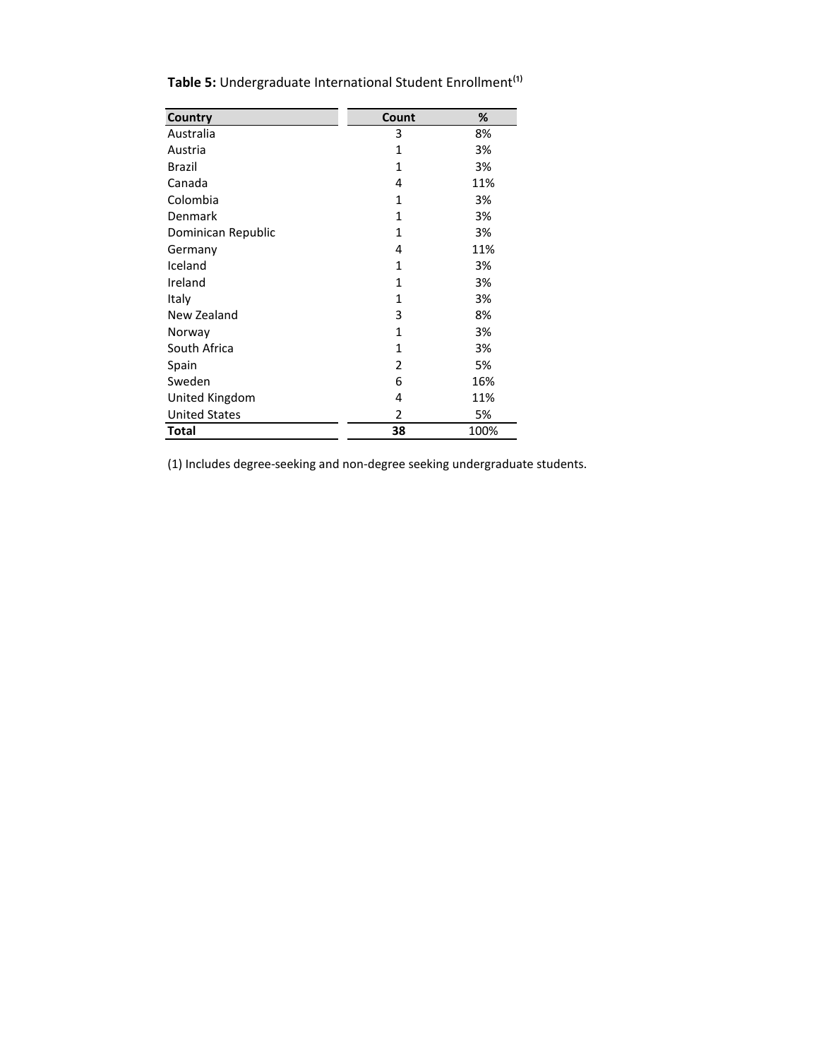| Country              | Count        | %    |
|----------------------|--------------|------|
| Australia            | 3            | 8%   |
| Austria              | $\mathbf{1}$ | 3%   |
| Brazil               | 1            | 3%   |
| Canada               | 4            | 11%  |
| Colombia             | $\mathbf{1}$ | 3%   |
| Denmark              | $\mathbf{1}$ | 3%   |
| Dominican Republic   | $\mathbf{1}$ | 3%   |
| Germany              | 4            | 11%  |
| Iceland              | 1            | 3%   |
| Ireland              | 1            | 3%   |
| Italy                | 1            | 3%   |
| New Zealand          | 3            | 8%   |
| Norway               | 1            | 3%   |
| South Africa         | 1            | 3%   |
| Spain                | 2            | 5%   |
| Sweden               | 6            | 16%  |
| United Kingdom       | 4            | 11%  |
| <b>United States</b> | 2            | 5%   |
| Total                | 38           | 100% |

Table 5: Undergraduate International Student Enrollment<sup>(1)</sup>

(1) Includes degree-seeking and non-degree seeking undergraduate students.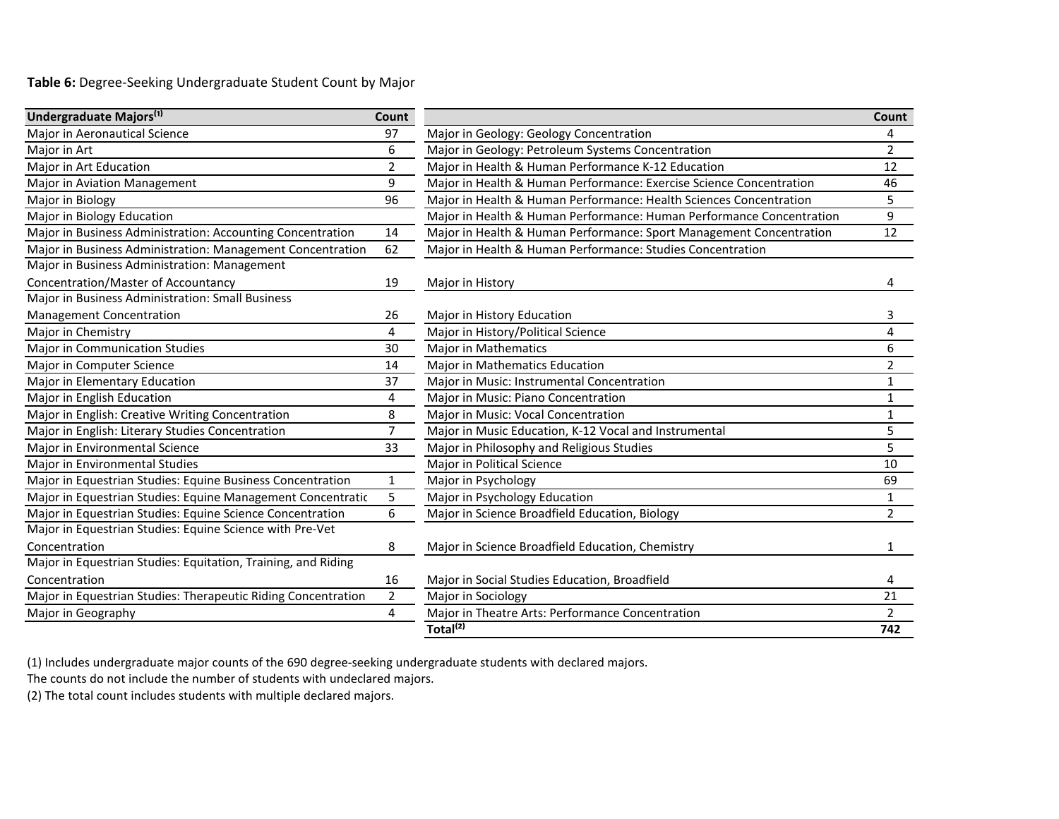**Table 6:** Degree-Seeking Undergraduate Student Count by Major

| Undergraduate Majors <sup>(1)</sup>                           | Count          |                                                                      | Count          |
|---------------------------------------------------------------|----------------|----------------------------------------------------------------------|----------------|
| Major in Aeronautical Science                                 | 97             | Major in Geology: Geology Concentration                              | 4              |
| Major in Art                                                  | 6              | Major in Geology: Petroleum Systems Concentration                    | $\overline{2}$ |
| Major in Art Education                                        | $\overline{2}$ | Major in Health & Human Performance K-12 Education                   | 12             |
| Major in Aviation Management                                  | 9              | Major in Health & Human Performance: Exercise Science Concentration  | 46             |
| Major in Biology                                              | 96             | Major in Health & Human Performance: Health Sciences Concentration   | 5              |
| Major in Biology Education                                    |                | Major in Health & Human Performance: Human Performance Concentration | 9              |
| Major in Business Administration: Accounting Concentration    | 14             | Major in Health & Human Performance: Sport Management Concentration  | 12             |
| Major in Business Administration: Management Concentration    | 62             | Major in Health & Human Performance: Studies Concentration           |                |
| Major in Business Administration: Management                  |                |                                                                      |                |
| Concentration/Master of Accountancy                           | 19             | Major in History                                                     | 4              |
| Major in Business Administration: Small Business              |                |                                                                      |                |
| <b>Management Concentration</b>                               | 26             | Major in History Education                                           | 3              |
| Major in Chemistry                                            | 4              | Major in History/Political Science                                   | 4              |
| <b>Major in Communication Studies</b>                         | 30             | <b>Major in Mathematics</b>                                          | 6              |
| Major in Computer Science                                     | 14             | Major in Mathematics Education                                       | $\overline{2}$ |
| Major in Elementary Education                                 | 37             | Major in Music: Instrumental Concentration                           | 1              |
| Major in English Education                                    | 4              | Major in Music: Piano Concentration                                  | 1              |
| Major in English: Creative Writing Concentration              | 8              | Major in Music: Vocal Concentration                                  | $\mathbf{1}$   |
| Major in English: Literary Studies Concentration              | $\overline{7}$ | Major in Music Education, K-12 Vocal and Instrumental                | 5              |
| Major in Environmental Science                                | 33             | Major in Philosophy and Religious Studies                            | 5              |
| Major in Environmental Studies                                |                | Major in Political Science                                           | 10             |
| Major in Equestrian Studies: Equine Business Concentration    | $\mathbf{1}$   | Major in Psychology                                                  | 69             |
| Major in Equestrian Studies: Equine Management Concentratic   | 5              | Major in Psychology Education                                        | $\mathbf{1}$   |
| Major in Equestrian Studies: Equine Science Concentration     | 6              | Major in Science Broadfield Education, Biology                       | $\overline{2}$ |
| Major in Equestrian Studies: Equine Science with Pre-Vet      |                |                                                                      |                |
| Concentration                                                 | 8              | Major in Science Broadfield Education, Chemistry                     | $\mathbf{1}$   |
| Major in Equestrian Studies: Equitation, Training, and Riding |                |                                                                      |                |
| Concentration                                                 | 16             | Major in Social Studies Education, Broadfield                        | 4              |
| Major in Equestrian Studies: Therapeutic Riding Concentration | $\overline{2}$ | Major in Sociology                                                   | 21             |
| Major in Geography                                            | 4              | Major in Theatre Arts: Performance Concentration                     | $\overline{2}$ |
|                                                               |                | Total <sup>(2)</sup>                                                 | 742            |

(1) Includes undergraduate major counts of the 690 degree-seeking undergraduate students with declared majors.

The counts do not include the number of students with undeclared majors.

(2) The total count includes students with multiple declared majors.